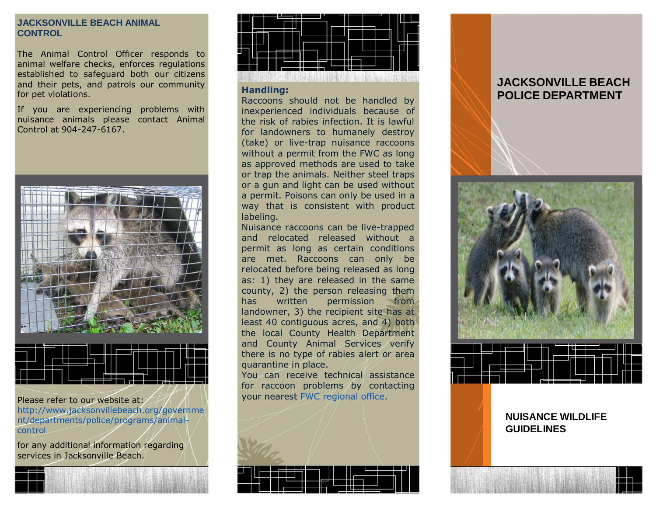## **JACKSONVILLE BEACH ANIMAL CONTROL**

The Animal Control Officer responds to animal welfare checks, enforces regulations established to safeguard both our citizens and their pets, and patrols our community for pet violations.

If you are experiencing problems with nuisance animals please contact Animal Control at 904-247-6167.



Please refer to our website at: [http://www.jacksonvillebeach.org/governme](http://www.jacksonvillebeach.org/government/departments/police/programs/animal-control) [nt/departments/police/programs/animal](http://www.jacksonvillebeach.org/government/departments/police/programs/animal-control)[control](http://www.jacksonvillebeach.org/government/departments/police/programs/animal-control)

for any additional information regarding services in Jacksonville Beach.



## **Handling:**

Raccoons should not be handled by inexperienced individuals because of the risk of rabies infection. It is lawful for landowners to humanely destroy (take) or live-trap nuisance raccoons without a permit from the FWC as long as approved methods are used to take or trap the animals. Neither steel traps or a gun and light can be used without a permit. Poisons can only be used in a way that is consistent with product labeling.

Nuisance raccoons can be live-trapped and relocated released without a permit as long as certain conditions are met. Raccoons can only be relocated before being released as long as: 1) they are released in the same county, 2) the person releasing them has written permission from landowner, 3) the recipient site has at least 40 contiguous acres, and 4) both the local County Health Department and County Animal Services verify there is no type of rabies alert or area quarantine in place.

You can receive technical assistance for raccoon problems by contacting your nearest [FWC regional office.](http://myfwc.com/about/inside-fwc#DOs)



# **JACKSONVILLE BEACH POLICE DEPARTMENT**



# **NUISANCE WILDLIFE GUIDELINES**